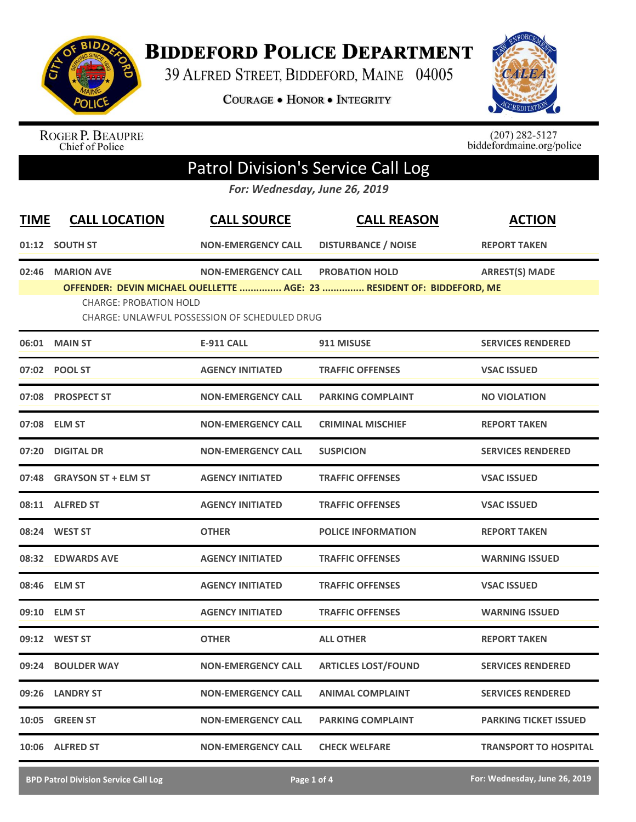

**BIDDEFORD POLICE DEPARTMENT** 

39 ALFRED STREET, BIDDEFORD, MAINE 04005

COURAGE . HONOR . INTEGRITY



ROGER P. BEAUPRE<br>Chief of Police

 $(207)$  282-5127<br>biddefordmaine.org/police

## Patrol Division's Service Call Log

*For: Wednesday, June 26, 2019*

| <b>TIME</b> | <b>CALL LOCATION</b>                                                                                                                                            | <b>CALL SOURCE</b>        | <b>CALL REASON</b>         | <b>ACTION</b>                |  |  |
|-------------|-----------------------------------------------------------------------------------------------------------------------------------------------------------------|---------------------------|----------------------------|------------------------------|--|--|
|             | 01:12 SOUTH ST                                                                                                                                                  | <b>NON-EMERGENCY CALL</b> | <b>DISTURBANCE / NOISE</b> | <b>REPORT TAKEN</b>          |  |  |
| 02:46       | <b>MARION AVE</b>                                                                                                                                               | <b>NON-EMERGENCY CALL</b> | <b>PROBATION HOLD</b>      | <b>ARREST(S) MADE</b>        |  |  |
|             | OFFENDER: DEVIN MICHAEL OUELLETTE  AGE: 23  RESIDENT OF: BIDDEFORD, ME<br><b>CHARGE: PROBATION HOLD</b><br><b>CHARGE: UNLAWFUL POSSESSION OF SCHEDULED DRUG</b> |                           |                            |                              |  |  |
|             | 06:01 MAIN ST                                                                                                                                                   | <b>E-911 CALL</b>         | 911 MISUSE                 | <b>SERVICES RENDERED</b>     |  |  |
|             | 07:02 POOL ST                                                                                                                                                   | <b>AGENCY INITIATED</b>   | <b>TRAFFIC OFFENSES</b>    | <b>VSAC ISSUED</b>           |  |  |
|             | 07:08 PROSPECT ST                                                                                                                                               | <b>NON-EMERGENCY CALL</b> | <b>PARKING COMPLAINT</b>   | <b>NO VIOLATION</b>          |  |  |
|             | 07:08 ELM ST                                                                                                                                                    | <b>NON-EMERGENCY CALL</b> | <b>CRIMINAL MISCHIEF</b>   | <b>REPORT TAKEN</b>          |  |  |
|             | 07:20 DIGITAL DR                                                                                                                                                | <b>NON-EMERGENCY CALL</b> | <b>SUSPICION</b>           | <b>SERVICES RENDERED</b>     |  |  |
|             | 07:48 GRAYSON ST + ELM ST                                                                                                                                       | <b>AGENCY INITIATED</b>   | <b>TRAFFIC OFFENSES</b>    | <b>VSAC ISSUED</b>           |  |  |
|             | 08:11 ALFRED ST                                                                                                                                                 | <b>AGENCY INITIATED</b>   | <b>TRAFFIC OFFENSES</b>    | <b>VSAC ISSUED</b>           |  |  |
|             | 08:24 WEST ST                                                                                                                                                   | <b>OTHER</b>              | <b>POLICE INFORMATION</b>  | <b>REPORT TAKEN</b>          |  |  |
|             | 08:32 EDWARDS AVE                                                                                                                                               | <b>AGENCY INITIATED</b>   | <b>TRAFFIC OFFENSES</b>    | <b>WARNING ISSUED</b>        |  |  |
|             | 08:46 ELM ST                                                                                                                                                    | <b>AGENCY INITIATED</b>   | <b>TRAFFIC OFFENSES</b>    | <b>VSAC ISSUED</b>           |  |  |
|             | 09:10 ELM ST                                                                                                                                                    | <b>AGENCY INITIATED</b>   | <b>TRAFFIC OFFENSES</b>    | <b>WARNING ISSUED</b>        |  |  |
|             | 09:12 WEST ST                                                                                                                                                   | <b>OTHER</b>              | <b>ALL OTHER</b>           | <b>REPORT TAKEN</b>          |  |  |
|             | 09:24 BOULDER WAY                                                                                                                                               | <b>NON-EMERGENCY CALL</b> | <b>ARTICLES LOST/FOUND</b> | <b>SERVICES RENDERED</b>     |  |  |
|             | 09:26 LANDRY ST                                                                                                                                                 | <b>NON-EMERGENCY CALL</b> | <b>ANIMAL COMPLAINT</b>    | <b>SERVICES RENDERED</b>     |  |  |
| 10:05       | <b>GREEN ST</b>                                                                                                                                                 | <b>NON-EMERGENCY CALL</b> | <b>PARKING COMPLAINT</b>   | <b>PARKING TICKET ISSUED</b> |  |  |
|             | 10:06 ALFRED ST                                                                                                                                                 | <b>NON-EMERGENCY CALL</b> | <b>CHECK WELFARE</b>       | <b>TRANSPORT TO HOSPITAL</b> |  |  |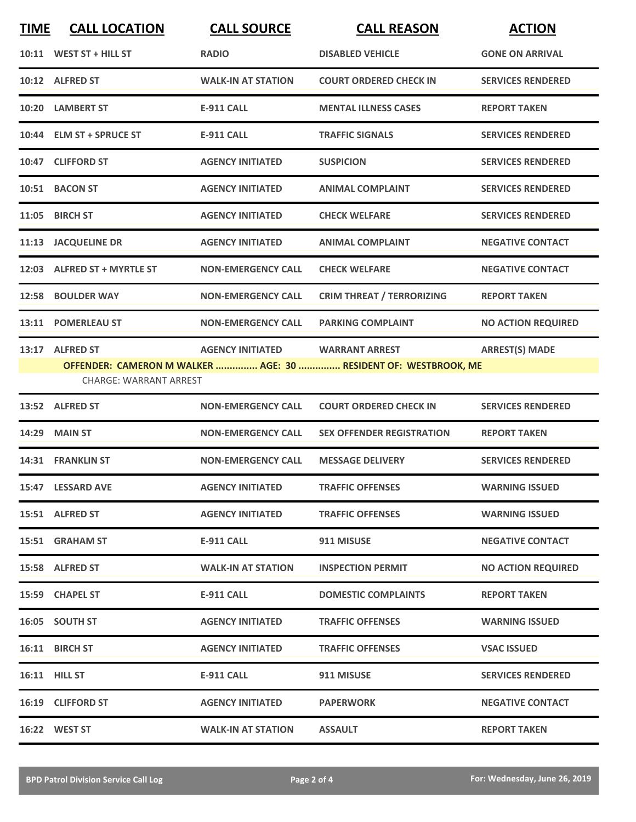| <b>TIME</b> | <b>CALL LOCATION</b>                             | <b>CALL SOURCE</b>        | <b>CALL REASON</b>                                                                       | <b>ACTION</b>             |
|-------------|--------------------------------------------------|---------------------------|------------------------------------------------------------------------------------------|---------------------------|
|             | 10:11 WEST ST + HILL ST                          | <b>RADIO</b>              | <b>DISABLED VEHICLE</b>                                                                  | <b>GONE ON ARRIVAL</b>    |
|             | 10:12 ALFRED ST                                  | <b>WALK-IN AT STATION</b> | <b>COURT ORDERED CHECK IN</b>                                                            | <b>SERVICES RENDERED</b>  |
|             | 10:20 LAMBERT ST                                 | <b>E-911 CALL</b>         | <b>MENTAL ILLNESS CASES</b>                                                              | <b>REPORT TAKEN</b>       |
|             | 10:44 ELM ST + SPRUCE ST                         | <b>E-911 CALL</b>         | <b>TRAFFIC SIGNALS</b>                                                                   | <b>SERVICES RENDERED</b>  |
|             | 10:47 CLIFFORD ST                                | <b>AGENCY INITIATED</b>   | <b>SUSPICION</b>                                                                         | <b>SERVICES RENDERED</b>  |
|             | 10:51 BACON ST                                   | <b>AGENCY INITIATED</b>   | <b>ANIMAL COMPLAINT</b>                                                                  | <b>SERVICES RENDERED</b>  |
|             | 11:05 BIRCH ST                                   | <b>AGENCY INITIATED</b>   | <b>CHECK WELFARE</b>                                                                     | <b>SERVICES RENDERED</b>  |
|             | 11:13 JACQUELINE DR                              | <b>AGENCY INITIATED</b>   | <b>ANIMAL COMPLAINT</b>                                                                  | <b>NEGATIVE CONTACT</b>   |
|             | 12:03 ALFRED ST + MYRTLE ST                      | <b>NON-EMERGENCY CALL</b> | <b>CHECK WELFARE</b>                                                                     | <b>NEGATIVE CONTACT</b>   |
|             | 12:58 BOULDER WAY                                | <b>NON-EMERGENCY CALL</b> | <b>CRIM THREAT / TERRORIZING</b>                                                         | <b>REPORT TAKEN</b>       |
|             | 13:11 POMERLEAU ST                               | <b>NON-EMERGENCY CALL</b> | <b>PARKING COMPLAINT</b>                                                                 | <b>NO ACTION REQUIRED</b> |
|             | 13:17 ALFRED ST<br><b>CHARGE: WARRANT ARREST</b> | <b>AGENCY INITIATED</b>   | <b>WARRANT ARREST</b><br>OFFENDER: CAMERON M WALKER  AGE: 30  RESIDENT OF: WESTBROOK, ME | <b>ARREST(S) MADE</b>     |
|             | 13:52 ALFRED ST                                  | <b>NON-EMERGENCY CALL</b> | <b>COURT ORDERED CHECK IN</b>                                                            | <b>SERVICES RENDERED</b>  |
|             | <b>14:29 MAIN ST</b>                             | <b>NON-EMERGENCY CALL</b> | <b>SEX OFFENDER REGISTRATION</b>                                                         | <b>REPORT TAKEN</b>       |
|             | 14:31 FRANKLIN ST                                | <b>NON-EMERGENCY CALL</b> | <b>MESSAGE DELIVERY</b>                                                                  | <b>SERVICES RENDERED</b>  |
|             | 15:47 LESSARD AVE                                | <b>AGENCY INITIATED</b>   | <b>TRAFFIC OFFENSES</b>                                                                  | <b>WARNING ISSUED</b>     |
|             | 15:51 ALFRED ST                                  | <b>AGENCY INITIATED</b>   | <b>TRAFFIC OFFENSES</b>                                                                  | <b>WARNING ISSUED</b>     |
|             | 15:51 GRAHAM ST                                  | <b>E-911 CALL</b>         | 911 MISUSE                                                                               | <b>NEGATIVE CONTACT</b>   |
|             | 15:58 ALFRED ST                                  | <b>WALK-IN AT STATION</b> | <b>INSPECTION PERMIT</b>                                                                 | <b>NO ACTION REQUIRED</b> |
|             | 15:59 CHAPEL ST                                  | E-911 CALL                | <b>DOMESTIC COMPLAINTS</b>                                                               | <b>REPORT TAKEN</b>       |
|             | 16:05 SOUTH ST                                   | <b>AGENCY INITIATED</b>   | <b>TRAFFIC OFFENSES</b>                                                                  | <b>WARNING ISSUED</b>     |
|             | 16:11 BIRCH ST                                   | <b>AGENCY INITIATED</b>   | <b>TRAFFIC OFFENSES</b>                                                                  | <b>VSAC ISSUED</b>        |
|             | 16:11 HILL ST                                    | E-911 CALL                | 911 MISUSE                                                                               | <b>SERVICES RENDERED</b>  |
|             | 16:19 CLIFFORD ST                                | <b>AGENCY INITIATED</b>   | <b>PAPERWORK</b>                                                                         | <b>NEGATIVE CONTACT</b>   |
|             | 16:22 WEST ST                                    | <b>WALK-IN AT STATION</b> | <b>ASSAULT</b>                                                                           | <b>REPORT TAKEN</b>       |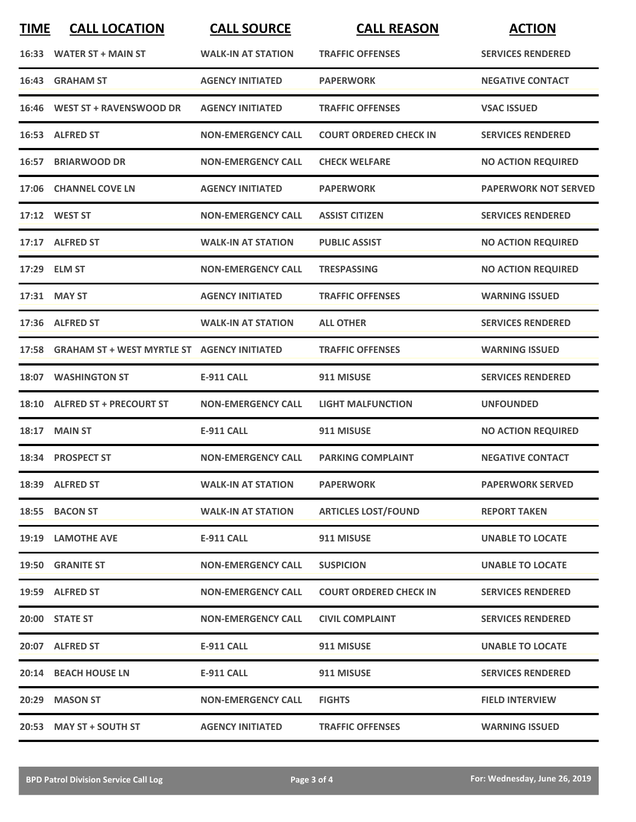| <b>TIME</b> | <b>CALL LOCATION</b>                              | <b>CALL SOURCE</b>        | <b>CALL REASON</b>            | <b>ACTION</b>               |
|-------------|---------------------------------------------------|---------------------------|-------------------------------|-----------------------------|
|             | 16:33 WATER ST + MAIN ST                          | <b>WALK-IN AT STATION</b> | <b>TRAFFIC OFFENSES</b>       | <b>SERVICES RENDERED</b>    |
| 16:43       | <b>GRAHAM ST</b>                                  | <b>AGENCY INITIATED</b>   | <b>PAPERWORK</b>              | <b>NEGATIVE CONTACT</b>     |
|             | 16:46 WEST ST + RAVENSWOOD DR                     | <b>AGENCY INITIATED</b>   | <b>TRAFFIC OFFENSES</b>       | <b>VSAC ISSUED</b>          |
|             | 16:53 ALFRED ST                                   | <b>NON-EMERGENCY CALL</b> | <b>COURT ORDERED CHECK IN</b> | <b>SERVICES RENDERED</b>    |
|             | 16:57 BRIARWOOD DR                                | <b>NON-EMERGENCY CALL</b> | <b>CHECK WELFARE</b>          | <b>NO ACTION REQUIRED</b>   |
|             | 17:06 CHANNEL COVE LN                             | <b>AGENCY INITIATED</b>   | <b>PAPERWORK</b>              | <b>PAPERWORK NOT SERVED</b> |
|             | 17:12 WEST ST                                     | <b>NON-EMERGENCY CALL</b> | <b>ASSIST CITIZEN</b>         | <b>SERVICES RENDERED</b>    |
|             | 17:17 ALFRED ST                                   | <b>WALK-IN AT STATION</b> | <b>PUBLIC ASSIST</b>          | <b>NO ACTION REQUIRED</b>   |
|             | 17:29 ELM ST                                      | <b>NON-EMERGENCY CALL</b> | <b>TRESPASSING</b>            | <b>NO ACTION REQUIRED</b>   |
|             | 17:31 MAY ST                                      | <b>AGENCY INITIATED</b>   | <b>TRAFFIC OFFENSES</b>       | <b>WARNING ISSUED</b>       |
|             | 17:36 ALFRED ST                                   | <b>WALK-IN AT STATION</b> | <b>ALL OTHER</b>              | <b>SERVICES RENDERED</b>    |
|             | 17:58 GRAHAM ST + WEST MYRTLE ST AGENCY INITIATED |                           | <b>TRAFFIC OFFENSES</b>       | <b>WARNING ISSUED</b>       |
| 18:07       | <b>WASHINGTON ST</b>                              | <b>E-911 CALL</b>         | 911 MISUSE                    | <b>SERVICES RENDERED</b>    |
|             | 18:10 ALFRED ST + PRECOURT ST                     | <b>NON-EMERGENCY CALL</b> | <b>LIGHT MALFUNCTION</b>      | <b>UNFOUNDED</b>            |
| 18:17       | <b>MAIN ST</b>                                    | <b>E-911 CALL</b>         | 911 MISUSE                    | <b>NO ACTION REQUIRED</b>   |
|             | 18:34 PROSPECT ST                                 | <b>NON-EMERGENCY CALL</b> | <b>PARKING COMPLAINT</b>      | <b>NEGATIVE CONTACT</b>     |
|             | 18:39 ALFRED ST                                   | <b>WALK-IN AT STATION</b> | <b>PAPERWORK</b>              | <b>PAPERWORK SERVED</b>     |
|             | 18:55 BACON ST                                    | <b>WALK-IN AT STATION</b> | <b>ARTICLES LOST/FOUND</b>    | <b>REPORT TAKEN</b>         |
|             | 19:19 LAMOTHE AVE                                 | E-911 CALL                | 911 MISUSE                    | <b>UNABLE TO LOCATE</b>     |
|             | 19:50 GRANITE ST                                  | <b>NON-EMERGENCY CALL</b> | <b>SUSPICION</b>              | <b>UNABLE TO LOCATE</b>     |
|             | 19:59 ALFRED ST                                   | <b>NON-EMERGENCY CALL</b> | <b>COURT ORDERED CHECK IN</b> | <b>SERVICES RENDERED</b>    |
|             | 20:00 STATE ST                                    | <b>NON-EMERGENCY CALL</b> | <b>CIVIL COMPLAINT</b>        | <b>SERVICES RENDERED</b>    |
|             | 20:07 ALFRED ST                                   | E-911 CALL                | 911 MISUSE                    | <b>UNABLE TO LOCATE</b>     |
|             | 20:14 BEACH HOUSE LN                              | <b>E-911 CALL</b>         | 911 MISUSE                    | <b>SERVICES RENDERED</b>    |
|             | 20:29 MASON ST                                    | <b>NON-EMERGENCY CALL</b> | <b>FIGHTS</b>                 | <b>FIELD INTERVIEW</b>      |
|             | 20:53 MAY ST + SOUTH ST                           | <b>AGENCY INITIATED</b>   | <b>TRAFFIC OFFENSES</b>       | <b>WARNING ISSUED</b>       |